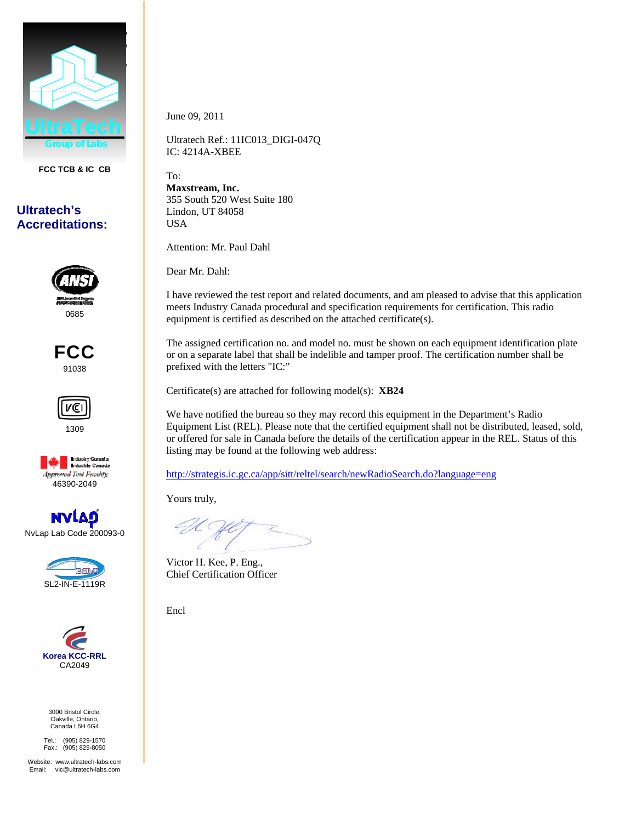

**FCC TCB & IC CB** 

## **Ultratech's Accreditations:**



FCC 91038







NvLap Lab Code 200093-0





3000 Bristol Circle, Oakville, Ontario, Canada L6H 6G4

Tel.: (905) 829-1570 Fax.: (905) 829-8050

Website: www.ultratech-labs.com Email: vic@ultratech-labs.com

June 09, 2011

Ultratech Ref.: 11IC013\_DIGI-047Q IC: 4214A-XBEE

To: **Maxstream, Inc.**  355 South 520 West Suite 180 Lindon, UT 84058 USA

Attention: Mr. Paul Dahl

Dear Mr. Dahl:

I have reviewed the test report and related documents, and am pleased to advise that this application meets Industry Canada procedural and specification requirements for certification. This radio equipment is certified as described on the attached certificate(s).

The assigned certification no. and model no. must be shown on each equipment identification plate or on a separate label that shall be indelible and tamper proof. The certification number shall be prefixed with the letters "IC:"

Certificate(s) are attached for following model(s): **XB24**

We have notified the bureau so they may record this equipment in the Department's Radio Equipment List (REL). Please note that the certified equipment shall not be distributed, leased, sold, or offered for sale in Canada before the details of the certification appear in the REL. Status of this listing may be found at the following web address:

http://strategis.ic.gc.ca/app/sitt/reltel/search/newRadioSearch.do?language=eng

Yours truly,

Victor H. Kee, P. Eng., Chief Certification Officer

Encl